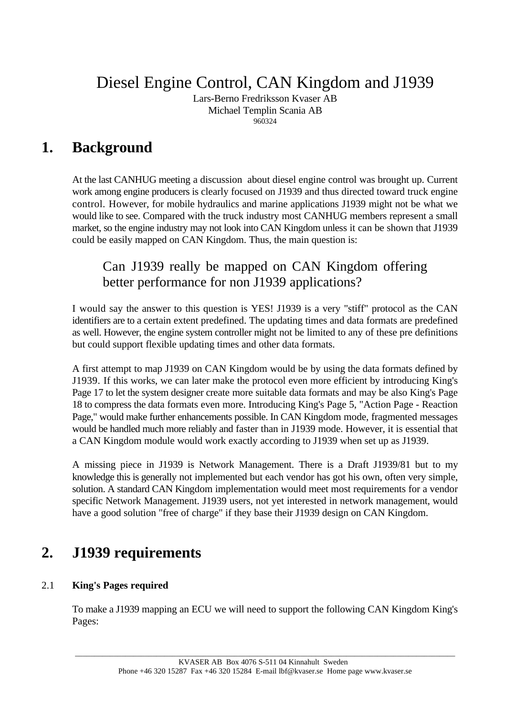Diesel Engine Control, CAN Kingdom and J1939

Lars-Berno Fredriksson Kvaser AB Michael Templin Scania AB 960324

# **1. Background**

At the last CANHUG meeting a discussion about diesel engine control was brought up. Current work among engine producers is clearly focused on J1939 and thus directed toward truck engine control. However, for mobile hydraulics and marine applications J1939 might not be what we would like to see. Compared with the truck industry most CANHUG members represent a small market, so the engine industry may not look into CAN Kingdom unless it can be shown that J1939 could be easily mapped on CAN Kingdom. Thus, the main question is:

# Can J1939 really be mapped on CAN Kingdom offering better performance for non J1939 applications?

I would say the answer to this question is YES! J1939 is a very "stiff" protocol as the CAN identifiers are to a certain extent predefined. The updating times and data formats are predefined as well. However, the engine system controller might not be limited to any of these pre definitions but could support flexible updating times and other data formats.

A first attempt to map J1939 on CAN Kingdom would be by using the data formats defined by J1939. If this works, we can later make the protocol even more efficient by introducing King's Page 17 to let the system designer create more suitable data formats and may be also King's Page 18 to compress the data formats even more. Introducing King's Page 5, "Action Page - Reaction Page," would make further enhancements possible. In CAN Kingdom mode, fragmented messages would be handled much more reliably and faster than in J1939 mode. However, it is essential that a CAN Kingdom module would work exactly according to J1939 when set up as J1939.

A missing piece in J1939 is Network Management. There is a Draft J1939/81 but to my knowledge this is generally not implemented but each vendor has got his own, often very simple, solution. A standard CAN Kingdom implementation would meet most requirements for a vendor specific Network Management. J1939 users, not yet interested in network management, would have a good solution "free of charge" if they base their J1939 design on CAN Kingdom.

# **2. J1939 requirements**

## 2.1 **King's Pages required**

To make a J1939 mapping an ECU we will need to support the following CAN Kingdom King's Pages: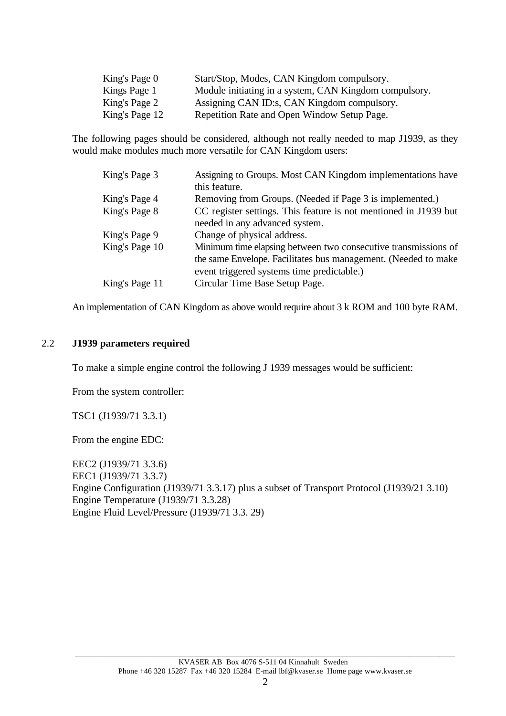| King's Page 0  | Start/Stop, Modes, CAN Kingdom compulsory.             |
|----------------|--------------------------------------------------------|
| Kings Page 1   | Module initiating in a system, CAN Kingdom compulsory. |
| King's Page 2  | Assigning CAN ID:s, CAN Kingdom compulsory.            |
| King's Page 12 | Repetition Rate and Open Window Setup Page.            |

The following pages should be considered, although not really needed to map J1939, as they would make modules much more versatile for CAN Kingdom users:

| King's Page 3  | Assigning to Groups. Most CAN Kingdom implementations have       |
|----------------|------------------------------------------------------------------|
|                | this feature.                                                    |
| King's Page 4  | Removing from Groups. (Needed if Page 3 is implemented.)         |
| King's Page 8  | CC register settings. This feature is not mentioned in J1939 but |
|                | needed in any advanced system.                                   |
| King's Page 9  | Change of physical address.                                      |
| King's Page 10 | Minimum time elapsing between two consecutive transmissions of   |
|                | the same Envelope. Facilitates bus management. (Needed to make   |
|                | event triggered systems time predictable.)                       |
| King's Page 11 | Circular Time Base Setup Page.                                   |

An implementation of CAN Kingdom as above would require about 3 k ROM and 100 byte RAM.

#### 2.2 **J1939 parameters required**

To make a simple engine control the following J 1939 messages would be sufficient:

From the system controller:

TSC1 (J1939/71 3.3.1)

From the engine EDC:

EEC2 (J1939/71 3.3.6) EEC1 (J1939/71 3.3.7) Engine Configuration (J1939/71 3.3.17) plus a subset of Transport Protocol (J1939/21 3.10) Engine Temperature (J1939/71 3.3.28) Engine Fluid Level/Pressure (J1939/71 3.3. 29)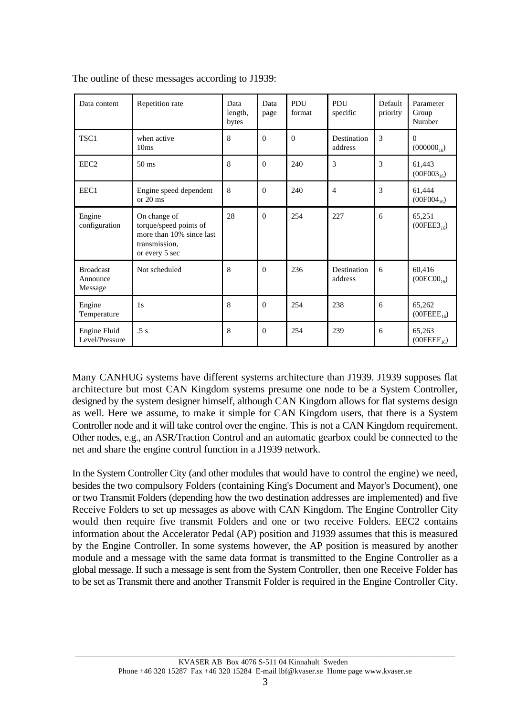| Data content                            | Repetition rate                                                                                       | Data<br>length,<br>bytes | Data<br>page | PDU<br>format | PDU<br>specific        | Default<br>priority | Parameter<br>Group<br>Number      |
|-----------------------------------------|-------------------------------------------------------------------------------------------------------|--------------------------|--------------|---------------|------------------------|---------------------|-----------------------------------|
| TSC1                                    | when active<br>10ms                                                                                   | 8                        | $\Omega$     | $\Omega$      | Destination<br>address | $\overline{3}$      | $\Omega$<br>$(000000_{16})$       |
| EEC <sub>2</sub>                        | $50 \text{ ms}$                                                                                       | 8                        | $\Omega$     | 240           | 3                      | 3                   | 61,443<br>$(00F003_{16})$         |
| EEC1                                    | Engine speed dependent<br>or $20 \text{ ms}$                                                          | 8                        | $\Omega$     | 240           | $\overline{4}$         | 3                   | 61,444<br>$(00F004_{16})$         |
| Engine<br>configuration                 | On change of<br>torque/speed points of<br>more than 10% since last<br>transmission,<br>or every 5 sec | 28                       | $\Omega$     | 254           | 227                    | 6                   | 65,251<br>$(00FEE3_{16})$         |
| <b>Broadcast</b><br>Announce<br>Message | Not scheduled                                                                                         | 8                        | $\Omega$     | 236           | Destination<br>address | 6                   | 60,416<br>$(00EC00_{16})$         |
| Engine<br>Temperature                   | 1s                                                                                                    | 8                        | $\Omega$     | 254           | 238                    | 6                   | 65,262<br>$(00FEEE_{16})$         |
| Engine Fluid<br>Level/Pressure          | .5s                                                                                                   | 8                        | $\Omega$     | 254           | 239                    | 6                   | 65,263<br>(00FEEF <sub>16</sub> ) |

The outline of these messages according to J1939:

Many CANHUG systems have different systems architecture than J1939. J1939 supposes flat architecture but most CAN Kingdom systems presume one node to be a System Controller, designed by the system designer himself, although CAN Kingdom allows for flat systems design as well. Here we assume, to make it simple for CAN Kingdom users, that there is a System Controller node and it will take control over the engine. This is not a CAN Kingdom requirement. Other nodes, e.g., an ASR/Traction Control and an automatic gearbox could be connected to the net and share the engine control function in a J1939 network.

In the System Controller City (and other modules that would have to control the engine) we need, besides the two compulsory Folders (containing King's Document and Mayor's Document), one or two Transmit Folders (depending how the two destination addresses are implemented) and five Receive Folders to set up messages as above with CAN Kingdom. The Engine Controller City would then require five transmit Folders and one or two receive Folders. EEC2 contains information about the Accelerator Pedal (AP) position and J1939 assumes that this is measured by the Engine Controller. In some systems however, the AP position is measured by another module and a message with the same data format is transmitted to the Engine Controller as a global message. If such a message is sent from the System Controller, then one Receive Folder has to be set as Transmit there and another Transmit Folder is required in the Engine Controller City.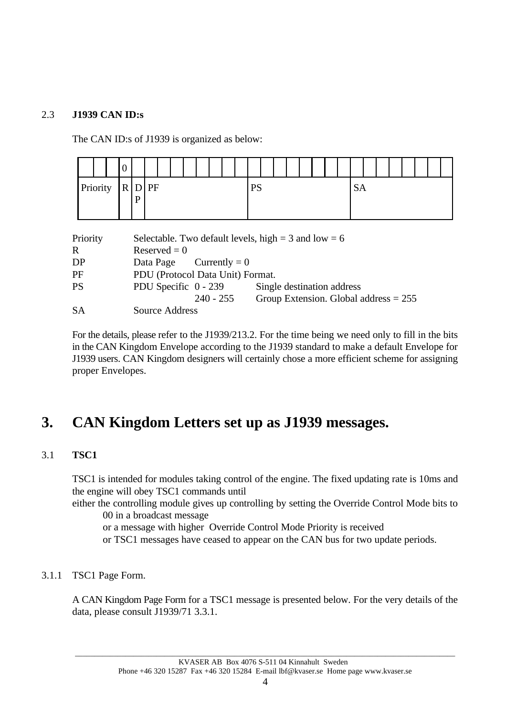## 2.3 **J1939 CAN ID:s**

The CAN ID:s of J1939 is organized as below:



| Priority  |                                  | Selectable. Two default levels, high = $3$ and low = $6$ |                                         |  |  |  |  |  |  |  |
|-----------|----------------------------------|----------------------------------------------------------|-----------------------------------------|--|--|--|--|--|--|--|
| R         | $Reserved = 0$                   |                                                          |                                         |  |  |  |  |  |  |  |
| DP        | Data Page Currently = $0$        |                                                          |                                         |  |  |  |  |  |  |  |
| PF        | PDU (Protocol Data Unit) Format. |                                                          |                                         |  |  |  |  |  |  |  |
| <b>PS</b> | PDU Specific 0 - 239             |                                                          | Single destination address              |  |  |  |  |  |  |  |
|           |                                  | $240 - 255$                                              | Group Extension. Global address $= 255$ |  |  |  |  |  |  |  |
| <b>SA</b> | Source Address                   |                                                          |                                         |  |  |  |  |  |  |  |

For the details, please refer to the J1939/213.2. For the time being we need only to fill in the bits in the CAN Kingdom Envelope according to the J1939 standard to make a default Envelope for J1939 users. CAN Kingdom designers will certainly chose a more efficient scheme for assigning proper Envelopes.

# **3. CAN Kingdom Letters set up as J1939 messages.**

## 3.1 **TSC1**

TSC1 is intended for modules taking control of the engine. The fixed updating rate is 10ms and the engine will obey TSC1 commands until

- either the controlling module gives up controlling by setting the Override Control Mode bits to 00 in a broadcast message
	- or a message with higher Override Control Mode Priority is received
	- or TSC1 messages have ceased to appear on the CAN bus for two update periods.

## 3.1.1 TSC1 Page Form.

A CAN Kingdom Page Form for a TSC1 message is presented below. For the very details of the data, please consult J1939/71 3.3.1.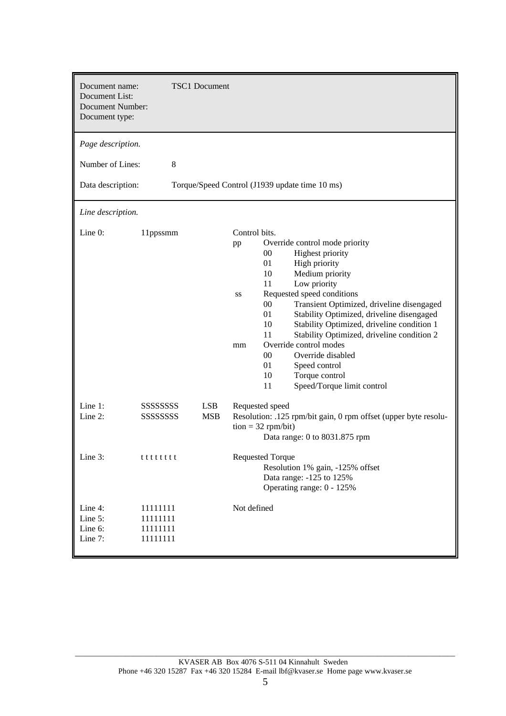| Document name:<br>Document List:<br><b>Document Number:</b><br>Document type:            | <b>TSC1</b> Document                               |                                                                                                                                                                                                                                                                                                                                                                                                                                                                                                                                                               |
|------------------------------------------------------------------------------------------|----------------------------------------------------|---------------------------------------------------------------------------------------------------------------------------------------------------------------------------------------------------------------------------------------------------------------------------------------------------------------------------------------------------------------------------------------------------------------------------------------------------------------------------------------------------------------------------------------------------------------|
| Page description.<br>Number of Lines:<br>Data description:                               | 8                                                  | Torque/Speed Control (J1939 update time 10 ms)                                                                                                                                                                                                                                                                                                                                                                                                                                                                                                                |
| Line description.                                                                        |                                                    |                                                                                                                                                                                                                                                                                                                                                                                                                                                                                                                                                               |
| Line $0$ :                                                                               | 11ppssmm                                           | Control bits.<br>Override control mode priority<br>pp<br>Highest priority<br>$00\,$<br>01<br>High priority<br>Medium priority<br>10<br>11<br>Low priority<br>Requested speed conditions<br>SS<br>$00\,$<br>Transient Optimized, driveline disengaged<br>01<br>Stability Optimized, driveline disengaged<br>Stability Optimized, driveline condition 1<br>10<br>11<br>Stability Optimized, driveline condition 2<br>Override control modes<br>mm<br>00<br>Override disabled<br>01<br>Speed control<br>10<br>Torque control<br>Speed/Torque limit control<br>11 |
| Line $1$ :<br>Line 2:                                                                    | SSSSSSSSS<br><b>LSB</b><br>SSSSSSSSS<br><b>MSB</b> | Requested speed<br>Resolution: .125 rpm/bit gain, 0 rpm offset (upper byte resolu-<br>$\text{tion} = 32 \text{ rpm/bit}$<br>Data range: 0 to 8031.875 rpm                                                                                                                                                                                                                                                                                                                                                                                                     |
| Line 3:                                                                                  | ttttttt                                            | <b>Requested Torque</b><br>Resolution 1% gain, -125% offset<br>Data range: -125 to 125%<br>Operating range: 0 - 125%                                                                                                                                                                                                                                                                                                                                                                                                                                          |
| Line 4:<br>11111111<br>Line 5:<br>11111111<br>Line 6:<br>11111111<br>Line 7:<br>11111111 |                                                    | Not defined                                                                                                                                                                                                                                                                                                                                                                                                                                                                                                                                                   |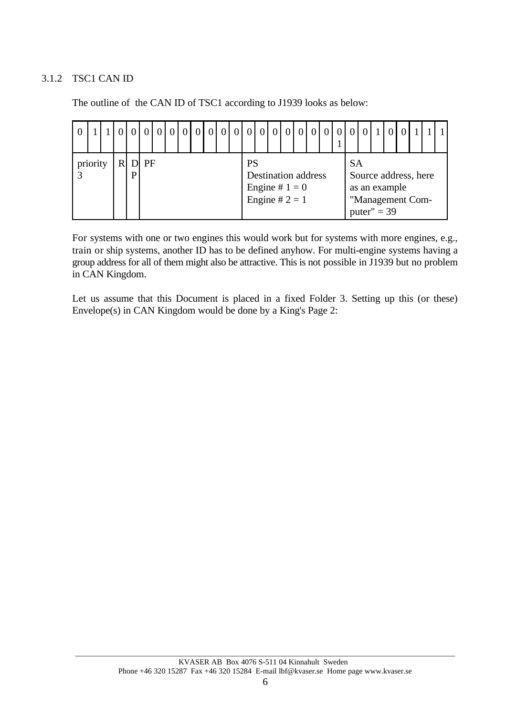## 3.1.2 TSC1 CAN ID

The outline of the CAN ID of TSC1 according to J1939 looks as below:

|          |  |   |      |  | $\begin{bmatrix} 0 & 0 & 0 \end{bmatrix}$ |  |           |                                                                    |  |  |     |                                |  |                                          |  |
|----------|--|---|------|--|-------------------------------------------|--|-----------|--------------------------------------------------------------------|--|--|-----|--------------------------------|--|------------------------------------------|--|
| priority |  | P | D PF |  |                                           |  | <b>PS</b> | <b>Destination address</b><br>Engine # $1 = 0$<br>Engine # $2 = 1$ |  |  | -SA | as an example<br>puter" $=$ 39 |  | Source address, here<br>"Management Com- |  |

For systems with one or two engines this would work but for systems with more engines, e.g., train or ship systems, another ID has to be defined anyhow. For multi-engine systems having a group address for all of them might also be attractive. This is not possible in J1939 but no problem in CAN Kingdom.

Let us assume that this Document is placed in a fixed Folder 3. Setting up this (or these) Envelope(s) in CAN Kingdom would be done by a King's Page 2: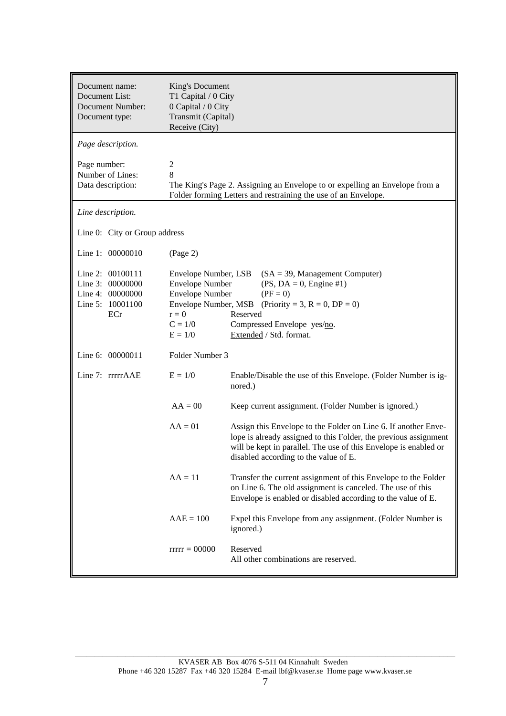| Document name:<br>Document List:<br><b>Document Number:</b><br>Document type:       | King's Document<br>T1 Capital / 0 City<br>0 Capital / 0 City<br>Transmit (Capital)<br>Receive (City)                                  |                                                                                                                                                                                                                                                 |
|-------------------------------------------------------------------------------------|---------------------------------------------------------------------------------------------------------------------------------------|-------------------------------------------------------------------------------------------------------------------------------------------------------------------------------------------------------------------------------------------------|
| Page description.                                                                   |                                                                                                                                       |                                                                                                                                                                                                                                                 |
| Page number:<br>Number of Lines:<br>Data description:                               | $\boldsymbol{2}$<br>8                                                                                                                 | The King's Page 2. Assigning an Envelope to or expelling an Envelope from a<br>Folder forming Letters and restraining the use of an Envelope.                                                                                                   |
| Line description.                                                                   |                                                                                                                                       |                                                                                                                                                                                                                                                 |
| Line 0: City or Group address                                                       |                                                                                                                                       |                                                                                                                                                                                                                                                 |
| Line 1: 00000010                                                                    | (Page 2)                                                                                                                              |                                                                                                                                                                                                                                                 |
| Line 2: 00100111<br>Line 3: 00000000<br>Line 4: 00000000<br>Line 5: 10001100<br>ECr | Envelope Number, LSB<br><b>Envelope Number</b><br><b>Envelope Number</b><br>Envelope Number, MSB<br>$r = 0$<br>$C = 1/0$<br>$E = 1/0$ | $(SA = 39,$ Management Computer)<br>$(PS, DA = 0, Engine #1)$<br>$(PF = 0)$<br>(Priority = 3, $R = 0$ , $DP = 0$ )<br>Reserved<br>Compressed Envelope yes/no.<br>Extended / Std. format.                                                        |
| Line 6: 00000011                                                                    | Folder Number 3                                                                                                                       |                                                                                                                                                                                                                                                 |
| Line 7: rrrrrAAE                                                                    | $E = 1/0$                                                                                                                             | Enable/Disable the use of this Envelope. (Folder Number is ig-<br>nored.)                                                                                                                                                                       |
|                                                                                     | $AA = 00$                                                                                                                             | Keep current assignment. (Folder Number is ignored.)                                                                                                                                                                                            |
|                                                                                     | $AA = 01$                                                                                                                             | Assign this Envelope to the Folder on Line 6. If another Enve-<br>lope is already assigned to this Folder, the previous assignment<br>will be kept in parallel. The use of this Envelope is enabled or<br>disabled according to the value of E. |
|                                                                                     | $AA = 11$                                                                                                                             | Transfer the current assignment of this Envelope to the Folder<br>on Line 6. The old assignment is canceled. The use of this<br>Envelope is enabled or disabled according to the value of E.                                                    |
|                                                                                     | $AAE = 100$                                                                                                                           | Expel this Envelope from any assignment. (Folder Number is<br>ignored.)                                                                                                                                                                         |
|                                                                                     | $rrrr = 00000$                                                                                                                        | Reserved<br>All other combinations are reserved.                                                                                                                                                                                                |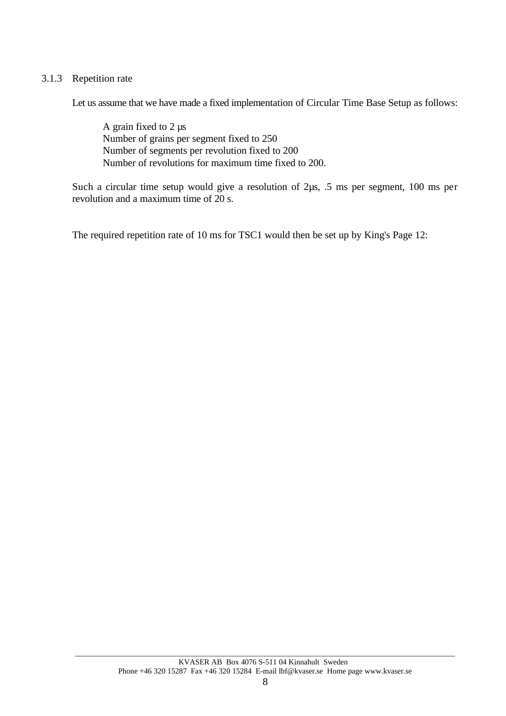#### 3.1.3 Repetition rate

Let us assume that we have made a fixed implementation of Circular Time Base Setup as follows:

A grain fixed to 2 µs Number of grains per segment fixed to 250 Number of segments per revolution fixed to 200 Number of revolutions for maximum time fixed to 200.

Such a circular time setup would give a resolution of 2 $\mu$ s, .5 ms per segment, 100 ms per revolution and a maximum time of 20 s.

The required repetition rate of 10 ms for TSC1 would then be set up by King's Page 12: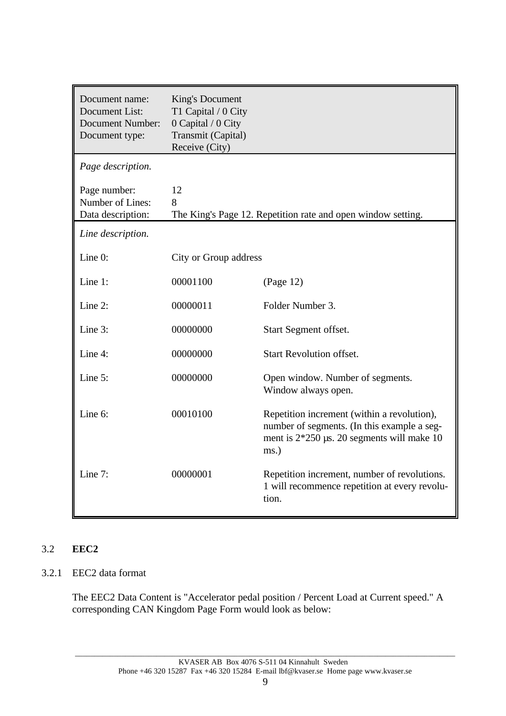| Document name:<br>Document List:<br><b>Document Number:</b><br>Document type: | <b>King's Document</b><br>T1 Capital / 0 City<br>0 Capital / 0 City<br>Transmit (Capital)<br>Receive (City) |                                                                                                                                                          |
|-------------------------------------------------------------------------------|-------------------------------------------------------------------------------------------------------------|----------------------------------------------------------------------------------------------------------------------------------------------------------|
| Page description.                                                             |                                                                                                             |                                                                                                                                                          |
| Page number:<br>Number of Lines:<br>Data description:                         | 12<br>8                                                                                                     | The King's Page 12. Repetition rate and open window setting.                                                                                             |
| Line description.                                                             |                                                                                                             |                                                                                                                                                          |
| Line 0:                                                                       | City or Group address                                                                                       |                                                                                                                                                          |
| Line 1:                                                                       | 00001100                                                                                                    | (Page 12)                                                                                                                                                |
| Line 2:                                                                       | 00000011                                                                                                    | Folder Number 3.                                                                                                                                         |
| Line 3:                                                                       | 00000000                                                                                                    | Start Segment offset.                                                                                                                                    |
| Line 4:                                                                       | 00000000                                                                                                    | <b>Start Revolution offset.</b>                                                                                                                          |
| Line 5:                                                                       | 00000000                                                                                                    | Open window. Number of segments.<br>Window always open.                                                                                                  |
| Line 6:                                                                       | 00010100                                                                                                    | Repetition increment (within a revolution),<br>number of segments. (In this example a seg-<br>ment is $2*250 \,\mu s$ . 20 segments will make 10<br>ms.) |
| Line 7:                                                                       | 00000001                                                                                                    | Repetition increment, number of revolutions.<br>1 will recommence repetition at every revolu-<br>tion.                                                   |

## 3.2 **EEC2**

## 3.2.1 EEC2 data format

The EEC2 Data Content is "Accelerator pedal position / Percent Load at Current speed." A corresponding CAN Kingdom Page Form would look as below: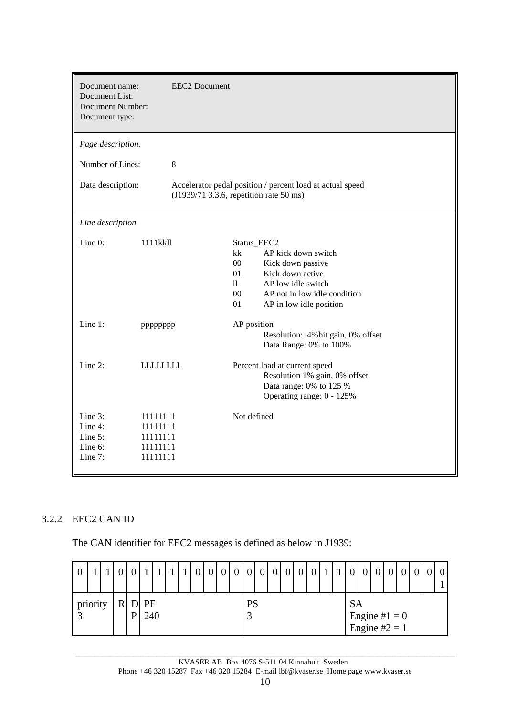| Document name:<br>Document List:<br><b>Document Number:</b><br>Document type: |                                                          | <b>EEC2</b> Document                                                                                                                                                                                                                                                  |  |  |  |  |  |  |  |
|-------------------------------------------------------------------------------|----------------------------------------------------------|-----------------------------------------------------------------------------------------------------------------------------------------------------------------------------------------------------------------------------------------------------------------------|--|--|--|--|--|--|--|
| Page description.                                                             |                                                          |                                                                                                                                                                                                                                                                       |  |  |  |  |  |  |  |
| Number of Lines:                                                              | 8                                                        |                                                                                                                                                                                                                                                                       |  |  |  |  |  |  |  |
| Data description:                                                             |                                                          | Accelerator pedal position / percent load at actual speed<br>(J1939/71 3.3.6, repetition rate 50 ms)                                                                                                                                                                  |  |  |  |  |  |  |  |
| Line description.                                                             |                                                          |                                                                                                                                                                                                                                                                       |  |  |  |  |  |  |  |
| Line 0:<br>Line 1:                                                            | 1111kkll<br>pppppppp                                     | Status_EEC2<br>kk<br>AP kick down switch<br>00<br>Kick down passive<br>Kick down active<br>01<br>$\mathbf{ll}$<br>AP low idle switch<br>$00\,$<br>AP not in low idle condition<br>01<br>AP in low idle position<br>AP position<br>Resolution: .4% bit gain, 0% offset |  |  |  |  |  |  |  |
| Line 2:                                                                       | <b>LLLLLLLLL</b>                                         | Data Range: 0% to 100%<br>Percent load at current speed<br>Resolution 1% gain, 0% offset<br>Data range: 0% to 125 %<br>Operating range: 0 - 125%                                                                                                                      |  |  |  |  |  |  |  |
| Line $3$ :<br>Line 4:<br>Line 5:<br>Line 6:<br>Line 7:                        | 11111111<br>11111111<br>11111111<br>11111111<br>11111111 | Not defined                                                                                                                                                                                                                                                           |  |  |  |  |  |  |  |

## 3.2.2 EEC2 CAN ID

The CAN identifier for EEC2 messages is defined as below in J1939:

|  |                                      |  |  |  |  |  |                |  | $\overline{0}$ | $\overline{0}$ | 0 | $\overline{0}$ | $\overline{0}$ | $\overline{0}$ | 0                                 | $\Omega$ | $\Omega$ |  |  | 0 |  |  | $\Omega$ | $\overline{0}$ |
|--|--------------------------------------|--|--|--|--|--|----------------|--|----------------|----------------|---|----------------|----------------|----------------|-----------------------------------|----------|----------|--|--|---|--|--|----------|----------------|
|  | priority<br>R<br>D<br>PF<br>240<br>P |  |  |  |  |  | <b>PS</b><br>◠ |  |                |                |   |                |                | <b>SA</b>      | Engine # $1 = 0$<br>Engine #2 = 1 |          |          |  |  |   |  |  |          |                |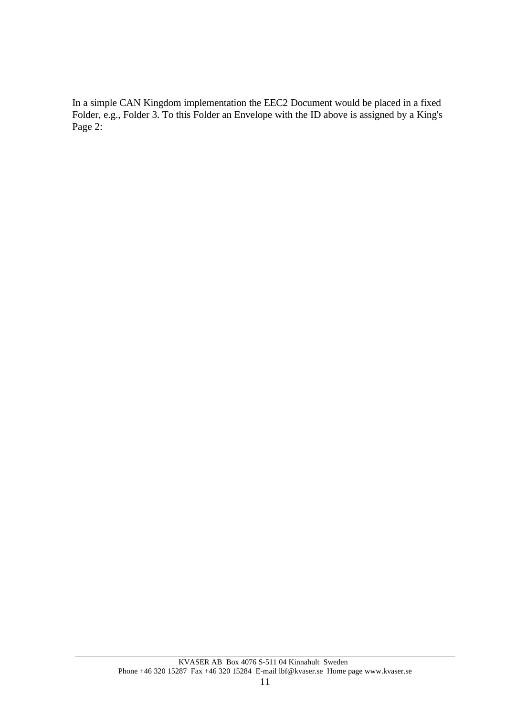In a simple CAN Kingdom implementation the EEC2 Document would be placed in a fixed Folder, e.g., Folder 3. To this Folder an Envelope with the ID above is assigned by a King's Page 2: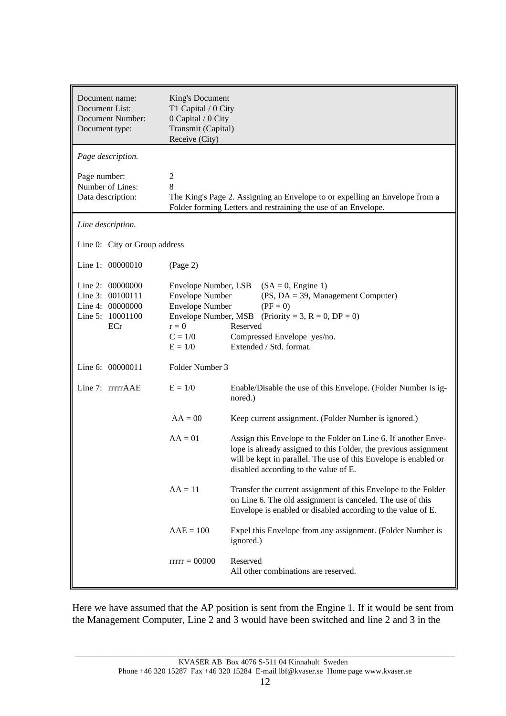| Document name:<br>Document List:<br><b>Document Number:</b><br>Document type:       | King's Document<br>T1 Capital / 0 City<br>0 Capital / 0 City<br>Transmit (Capital)<br>Receive (City)                                  |                                                                                                                                                                                                                                                 |
|-------------------------------------------------------------------------------------|---------------------------------------------------------------------------------------------------------------------------------------|-------------------------------------------------------------------------------------------------------------------------------------------------------------------------------------------------------------------------------------------------|
| Page description.                                                                   |                                                                                                                                       |                                                                                                                                                                                                                                                 |
| Page number:<br>Number of Lines:<br>Data description:                               | $\mathbf{2}$<br>8                                                                                                                     | The King's Page 2. Assigning an Envelope to or expelling an Envelope from a<br>Folder forming Letters and restraining the use of an Envelope.                                                                                                   |
| Line description.                                                                   |                                                                                                                                       |                                                                                                                                                                                                                                                 |
| Line 0: City or Group address                                                       |                                                                                                                                       |                                                                                                                                                                                                                                                 |
| Line 1: 00000010                                                                    | (Page 2)                                                                                                                              |                                                                                                                                                                                                                                                 |
| Line 2: 00000000<br>Line 3: 00100111<br>Line 4: 00000000<br>Line 5: 10001100<br>ECr | Envelope Number, LSB<br><b>Envelope Number</b><br><b>Envelope Number</b><br>Envelope Number, MSB<br>$r = 0$<br>$C = 1/0$<br>$E = 1/0$ | $(SA = 0,$ Engine 1)<br>$(PS, DA = 39, Management Computer)$<br>$(PF = 0)$<br>(Priority = 3, $R = 0$ , $DP = 0$ )<br>Reserved<br>Compressed Envelope yes/no.<br>Extended / Std. format.                                                         |
| Line 6: 00000011                                                                    | Folder Number 3                                                                                                                       |                                                                                                                                                                                                                                                 |
| Line 7: rrrrrAAE                                                                    | $E = 1/0$                                                                                                                             | Enable/Disable the use of this Envelope. (Folder Number is ig-<br>nored.)                                                                                                                                                                       |
|                                                                                     | $AA = 00$                                                                                                                             | Keep current assignment. (Folder Number is ignored.)                                                                                                                                                                                            |
|                                                                                     | $AA = 01$                                                                                                                             | Assign this Envelope to the Folder on Line 6. If another Enve-<br>lope is already assigned to this Folder, the previous assignment<br>will be kept in parallel. The use of this Envelope is enabled or<br>disabled according to the value of E. |
|                                                                                     | $AA = 11$                                                                                                                             | Transfer the current assignment of this Envelope to the Folder<br>on Line 6. The old assignment is canceled. The use of this<br>Envelope is enabled or disabled according to the value of E.                                                    |
|                                                                                     | $AAE = 100$                                                                                                                           | Expel this Envelope from any assignment. (Folder Number is<br>ignored.)                                                                                                                                                                         |
|                                                                                     | $rrrr = 00000$                                                                                                                        | Reserved<br>All other combinations are reserved.                                                                                                                                                                                                |

Here we have assumed that the AP position is sent from the Engine 1. If it would be sent from the Management Computer, Line 2 and 3 would have been switched and line 2 and 3 in the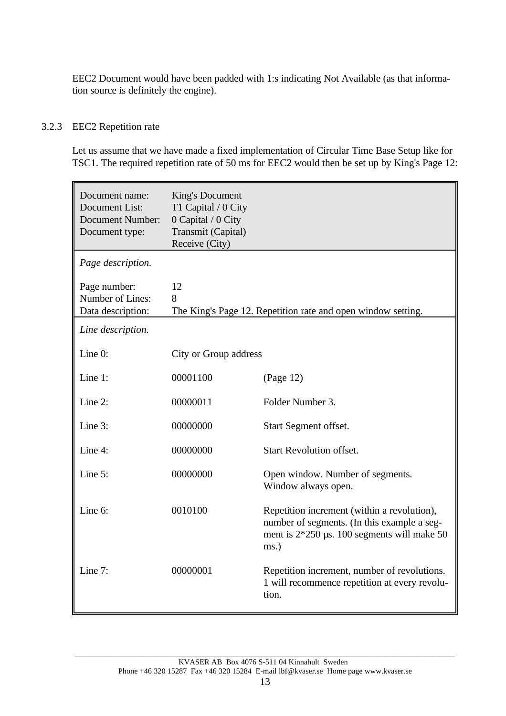EEC2 Document would have been padded with 1:s indicating Not Available (as that information source is definitely the engine).

## 3.2.3 EEC2 Repetition rate

Let us assume that we have made a fixed implementation of Circular Time Base Setup like for TSC1. The required repetition rate of 50 ms for EEC2 would then be set up by King's Page 12:

| Document name:<br>Document List:<br><b>Document Number:</b><br>Document type: | King's Document<br>T1 Capital / 0 City<br>0 Capital / 0 City<br>Transmit (Capital)<br>Receive (City) |                                                                                                                                                     |
|-------------------------------------------------------------------------------|------------------------------------------------------------------------------------------------------|-----------------------------------------------------------------------------------------------------------------------------------------------------|
| Page description.                                                             |                                                                                                      |                                                                                                                                                     |
| Page number:<br>Number of Lines:<br>Data description:                         | 12<br>8                                                                                              | The King's Page 12. Repetition rate and open window setting.                                                                                        |
| Line description.                                                             |                                                                                                      |                                                                                                                                                     |
| Line 0:                                                                       | City or Group address                                                                                |                                                                                                                                                     |
| Line 1:                                                                       | 00001100                                                                                             | (Page 12)                                                                                                                                           |
| Line 2:                                                                       | 00000011                                                                                             | Folder Number 3.                                                                                                                                    |
| Line 3:                                                                       | 00000000                                                                                             | Start Segment offset.                                                                                                                               |
| Line 4:                                                                       | 00000000                                                                                             | <b>Start Revolution offset.</b>                                                                                                                     |
| Line 5:                                                                       | 00000000                                                                                             | Open window. Number of segments.<br>Window always open.                                                                                             |
| Line 6:                                                                       | 0010100                                                                                              | Repetition increment (within a revolution),<br>number of segments. (In this example a seg-<br>ment is $2*250$ µs. 100 segments will make 50<br>ms.) |
| Line 7:                                                                       | 00000001                                                                                             | Repetition increment, number of revolutions.<br>1 will recommence repetition at every revolu-<br>tion.                                              |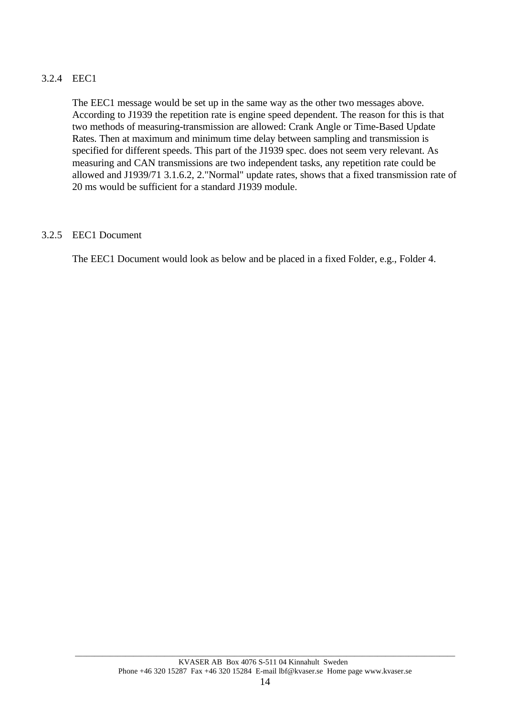#### 3.2.4 EEC1

The EEC1 message would be set up in the same way as the other two messages above. According to J1939 the repetition rate is engine speed dependent. The reason for this is that two methods of measuring-transmission are allowed: Crank Angle or Time-Based Update Rates. Then at maximum and minimum time delay between sampling and transmission is specified for different speeds. This part of the J1939 spec. does not seem very relevant. As measuring and CAN transmissions are two independent tasks, any repetition rate could be allowed and J1939/71 3.1.6.2, 2."Normal" update rates, shows that a fixed transmission rate of 20 ms would be sufficient for a standard J1939 module.

#### 3.2.5 EEC1 Document

The EEC1 Document would look as below and be placed in a fixed Folder, e.g., Folder 4.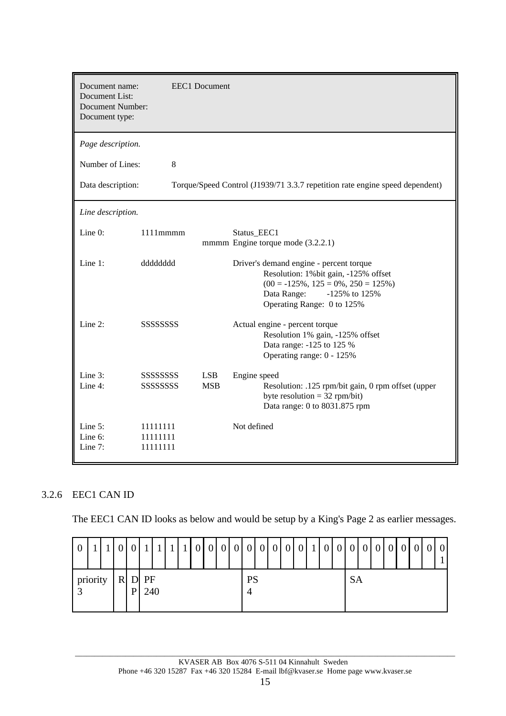| Document name:<br>Document List:<br><b>Document Number:</b><br>Document type: |                                           | <b>EEC1</b> Document                                                                                                                                                                         |
|-------------------------------------------------------------------------------|-------------------------------------------|----------------------------------------------------------------------------------------------------------------------------------------------------------------------------------------------|
| Page description.                                                             |                                           |                                                                                                                                                                                              |
| Number of Lines:                                                              | 8                                         |                                                                                                                                                                                              |
| Data description:                                                             |                                           | Torque/Speed Control (J1939/71 3.3.7 repetition rate engine speed dependent)                                                                                                                 |
| Line description.                                                             |                                           |                                                                                                                                                                                              |
| Line $0$ :                                                                    | $1111$ mmmm                               | Status EEC1<br>mmmm Engine torque mode (3.2.2.1)                                                                                                                                             |
| Line $1$ :                                                                    | ddddddd                                   | Driver's demand engine - percent torque<br>Resolution: 1% bit gain, -125% offset<br>$(00 = -125\%, 125 = 0\%, 250 = 125\%)$<br>Data Range:<br>$-125\%$ to 125%<br>Operating Range: 0 to 125% |
| Line $2$ :                                                                    | <b>SSSSSSSSSSSSSSS</b>                    | Actual engine - percent torque<br>Resolution 1% gain, -125% offset<br>Data range: -125 to 125 %<br>Operating range: 0 - 125%                                                                 |
| Line 3:<br>Line 4:                                                            | SSSSSSSSS<br><b>SSSSSSSSSSSSSSSSSSSSS</b> | <b>LSB</b><br>Engine speed<br><b>MSB</b><br>Resolution: .125 rpm/bit gain, 0 rpm offset (upper<br>byte resolution = $32$ rpm/bit)<br>Data range: 0 to 8031.875 rpm                           |
| Line $5$ :<br>Line 6:<br>Line 7:                                              | 11111111<br>11111111<br>11111111          | Not defined                                                                                                                                                                                  |

## 3.2.6 EEC1 CAN ID

The EEC1 CAN ID looks as below and would be setup by a King's Page 2 as earlier messages.

| $\overline{0}$ |  |   |                 |  |  |  |           |  |  |  |           |  |  |  |  |
|----------------|--|---|-----------------|--|--|--|-----------|--|--|--|-----------|--|--|--|--|
| priority       |  | P | $R$ D PF<br>240 |  |  |  | <b>PS</b> |  |  |  | <b>SA</b> |  |  |  |  |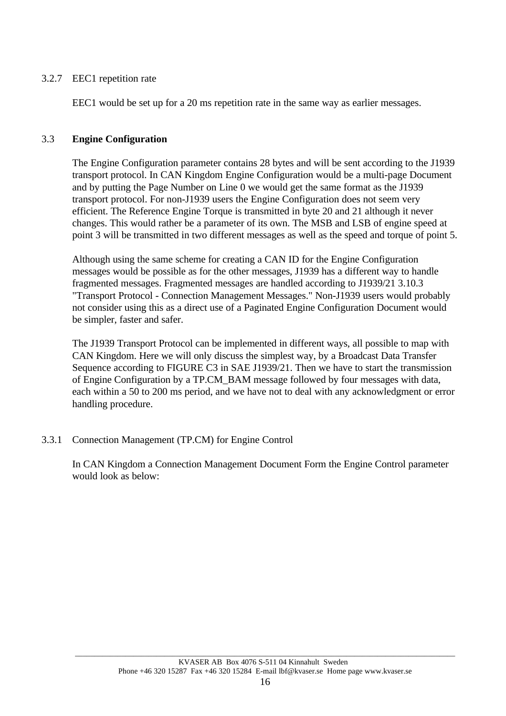## 3.2.7 EEC1 repetition rate

EEC1 would be set up for a 20 ms repetition rate in the same way as earlier messages.

## 3.3 **Engine Configuration**

The Engine Configuration parameter contains 28 bytes and will be sent according to the J1939 transport protocol. In CAN Kingdom Engine Configuration would be a multi-page Document and by putting the Page Number on Line 0 we would get the same format as the J1939 transport protocol. For non-J1939 users the Engine Configuration does not seem very efficient. The Reference Engine Torque is transmitted in byte 20 and 21 although it never changes. This would rather be a parameter of its own. The MSB and LSB of engine speed at point 3 will be transmitted in two different messages as well as the speed and torque of point 5.

Although using the same scheme for creating a CAN ID for the Engine Configuration messages would be possible as for the other messages, J1939 has a different way to handle fragmented messages. Fragmented messages are handled according to J1939/21 3.10.3 "Transport Protocol - Connection Management Messages." Non-J1939 users would probably not consider using this as a direct use of a Paginated Engine Configuration Document would be simpler, faster and safer.

The J1939 Transport Protocol can be implemented in different ways, all possible to map with CAN Kingdom. Here we will only discuss the simplest way, by a Broadcast Data Transfer Sequence according to FIGURE C3 in SAE J1939/21. Then we have to start the transmission of Engine Configuration by a TP.CM\_BAM message followed by four messages with data, each within a 50 to 200 ms period, and we have not to deal with any acknowledgment or error handling procedure.

3.3.1 Connection Management (TP.CM) for Engine Control

In CAN Kingdom a Connection Management Document Form the Engine Control parameter would look as below: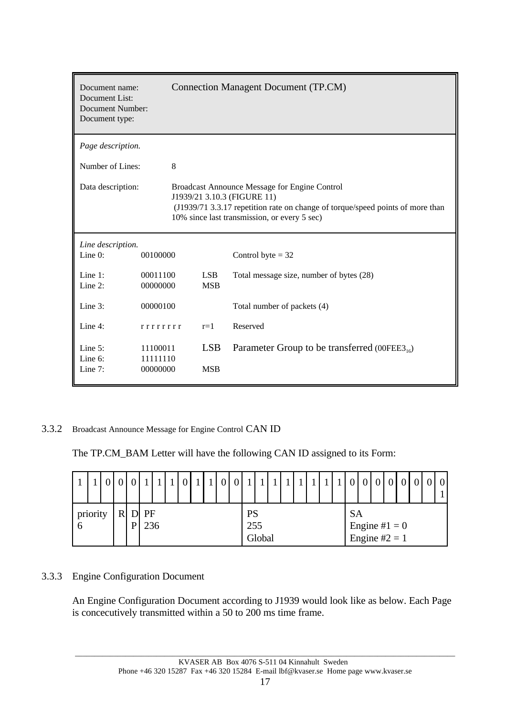| Document name:<br>Document List:<br>Document Number:<br>Document type: |                             |            | <b>Connection Managent Document (TP.CM)</b>                                                                                                                                                                    |
|------------------------------------------------------------------------|-----------------------------|------------|----------------------------------------------------------------------------------------------------------------------------------------------------------------------------------------------------------------|
| Page description.                                                      |                             |            |                                                                                                                                                                                                                |
| Number of Lines:                                                       | 8                           |            |                                                                                                                                                                                                                |
| Data description:                                                      |                             |            | Broadcast Announce Message for Engine Control<br>J1939/21 3.10.3 (FIGURE 11)<br>(J1939/71 3.3.17 repetition rate on change of torque/speed points of more than<br>10% since last transmission, or every 5 sec) |
| Line description.                                                      |                             |            |                                                                                                                                                                                                                |
| Line 0:                                                                | 00100000                    |            | Control byte $=$ 32                                                                                                                                                                                            |
| Line $1$ :                                                             | 00011100                    | <b>LSB</b> | Total message size, number of bytes (28)                                                                                                                                                                       |
| Line $2$ :                                                             | 00000000                    | <b>MSB</b> |                                                                                                                                                                                                                |
| Line 3:                                                                | Total number of packets (4) |            |                                                                                                                                                                                                                |
| Line $4$ :                                                             | rrrrrrrr                    | $r=1$      | Reserved                                                                                                                                                                                                       |
| Line $5$ :                                                             | 11100011                    | <b>LSB</b> | Parameter Group to be transferred (00FEE3 <sub>16</sub> )                                                                                                                                                      |
| Line 6:<br>Line $7:$                                                   | 11111110<br>00000000        | <b>MSB</b> |                                                                                                                                                                                                                |

3.3.2 Broadcast Announce Message for Engine Control CAN ID

The TP.CM\_BAM Letter will have the following CAN ID assigned to its Form:

|                |  |   |   |             |  |  | $\blacksquare$ | $\Omega$ | $\Omega$ | $\blacktriangleleft$ |        |  |  |  |           | $\overline{0}$                    |  | $\overline{0}$ |  | $\overline{0}$ |
|----------------|--|---|---|-------------|--|--|----------------|----------|----------|----------------------|--------|--|--|--|-----------|-----------------------------------|--|----------------|--|----------------|
| priority<br>-6 |  | R | P | D PF<br>236 |  |  |                |          |          | <b>PS</b><br>255     | Global |  |  |  | <b>SA</b> | Engine # $1 = 0$<br>Engine #2 = 1 |  |                |  |                |

## 3.3.3 Engine Configuration Document

An Engine Configuration Document according to J1939 would look like as below. Each Page is concecutively transmitted within a 50 to 200 ms time frame.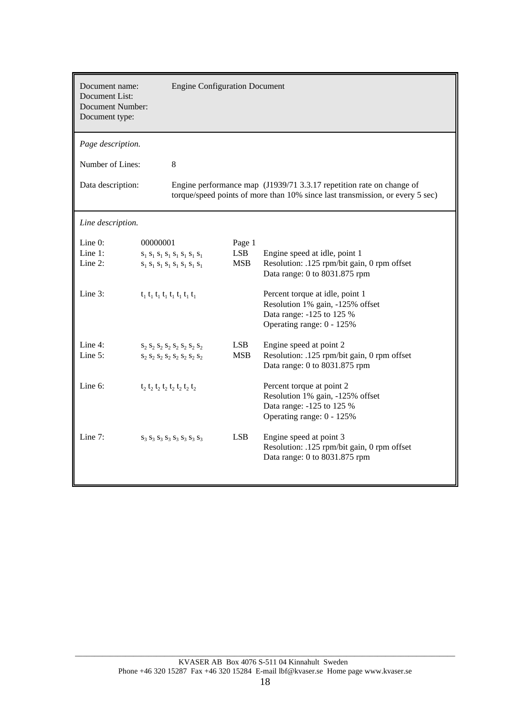| Document name:<br>Document List:<br><b>Document Number:</b><br>Document type: |          | <b>Engine Configuration Document</b>                                                                                    |            |                                                                                                                                                       |
|-------------------------------------------------------------------------------|----------|-------------------------------------------------------------------------------------------------------------------------|------------|-------------------------------------------------------------------------------------------------------------------------------------------------------|
| Page description.                                                             |          |                                                                                                                         |            |                                                                                                                                                       |
| Number of Lines:                                                              |          | 8                                                                                                                       |            |                                                                                                                                                       |
| Data description:                                                             |          |                                                                                                                         |            | Engine performance map (J1939/71 3.3.17 repetition rate on change of<br>torque/speed points of more than 10% since last transmission, or every 5 sec) |
| Line description.                                                             |          |                                                                                                                         |            |                                                                                                                                                       |
| Line 0:                                                                       | 00000001 |                                                                                                                         | Page 1     |                                                                                                                                                       |
| Line $1$ :                                                                    |          | $S_1 S_1 S_1 S_1 S_1 S_1 S_1 S_1$                                                                                       | <b>LSB</b> | Engine speed at idle, point 1                                                                                                                         |
| Line 2:                                                                       |          | $\mathbf{s}_1$ $\mathbf{s}_1$ $\mathbf{s}_1$ $\mathbf{s}_1$ $\mathbf{s}_1$ $\mathbf{s}_1$ $\mathbf{s}_1$ $\mathbf{s}_1$ | <b>MSB</b> | Resolution: .125 rpm/bit gain, 0 rpm offset<br>Data range: 0 to 8031.875 rpm                                                                          |
| Line 3:                                                                       |          | $t_1$ $t_1$ $t_1$ $t_1$ $t_1$ $t_1$ $t_1$                                                                               |            | Percent torque at idle, point 1<br>Resolution 1% gain, -125% offset<br>Data range: -125 to 125 %<br>Operating range: 0 - 125%                         |
| Line 4:                                                                       |          | $S_2 S_2 S_2 S_2 S_2 S_2 S_2 S_2$                                                                                       | <b>LSB</b> | Engine speed at point 2                                                                                                                               |
| Line 5:                                                                       |          | $S_2 S_2 S_2 S_2 S_2 S_2 S_2 S_2$                                                                                       | <b>MSB</b> | Resolution: .125 rpm/bit gain, 0 rpm offset<br>Data range: 0 to 8031.875 rpm                                                                          |
| Line 6:                                                                       |          | $t_2$ $t_2$ $t_2$ $t_2$ $t_2$ $t_2$ $t_2$ $t_2$                                                                         |            | Percent torque at point 2<br>Resolution 1% gain, -125% offset<br>Data range: -125 to 125 %<br>Operating range: 0 - 125%                               |
| Line $7:$                                                                     |          | $S_3 S_3 S_3 S_3 S_3 S_3 S_3 S_3$                                                                                       | <b>LSB</b> | Engine speed at point 3<br>Resolution: .125 rpm/bit gain, 0 rpm offset<br>Data range: 0 to 8031.875 rpm                                               |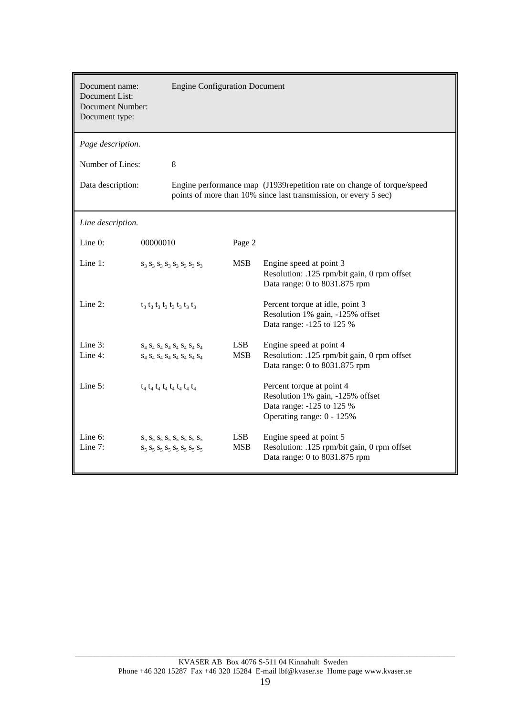| Document name:<br>Document List:<br><b>Document Number:</b><br>Document type: |          | <b>Engine Configuration Document</b>                                   |                          |                                                                                                                                            |
|-------------------------------------------------------------------------------|----------|------------------------------------------------------------------------|--------------------------|--------------------------------------------------------------------------------------------------------------------------------------------|
| Page description.                                                             |          |                                                                        |                          |                                                                                                                                            |
| Number of Lines:                                                              |          | 8                                                                      |                          |                                                                                                                                            |
| Data description:                                                             |          |                                                                        |                          | Engine performance map (J1939repetition rate on change of torque/speed<br>points of more than 10% since last transmission, or every 5 sec) |
| Line description.                                                             |          |                                                                        |                          |                                                                                                                                            |
| Line 0:                                                                       | 00000010 |                                                                        | Page 2                   |                                                                                                                                            |
| Line $1$ :                                                                    |          | $S_3 S_3 S_3 S_3 S_3 S_3 S_3 S_3$                                      | <b>MSB</b>               | Engine speed at point 3<br>Resolution: .125 rpm/bit gain, 0 rpm offset<br>Data range: 0 to 8031.875 rpm                                    |
| Line $2$ :                                                                    |          | $t_3$ $t_3$ $t_3$ $t_3$ $t_3$ $t_3$ $t_3$ $t_3$                        |                          | Percent torque at idle, point 3<br>Resolution 1% gain, -125% offset<br>Data range: -125 to 125 %                                           |
| Line $3$ :                                                                    |          | $S_4 S_4 S_4 S_4 S_4 S_4 S_4 S_4$                                      | LSB.                     | Engine speed at point 4                                                                                                                    |
| Line 4:                                                                       |          | $S_4 S_4 S_4 S_4 S_4 S_4 S_4 S_4$                                      | <b>MSB</b>               | Resolution: .125 rpm/bit gain, 0 rpm offset<br>Data range: 0 to 8031.875 rpm                                                               |
| Line $5$ :                                                                    |          | $t_4$ $t_4$ $t_4$ $t_4$ $t_4$ $t_4$ $t_4$ $t_4$                        |                          | Percent torque at point 4<br>Resolution 1% gain, -125% offset<br>Data range: -125 to 125 %<br>Operating range: 0 - 125%                    |
| Line 6:<br>Line 7:                                                            |          | $S_5 S_5 S_5 S_5 S_5 S_5 S_5 S_5$<br>$S_5 S_5 S_5 S_5 S_5 S_5 S_5 S_5$ | <b>LSB</b><br><b>MSB</b> | Engine speed at point 5<br>Resolution: .125 rpm/bit gain, 0 rpm offset<br>Data range: 0 to 8031.875 rpm                                    |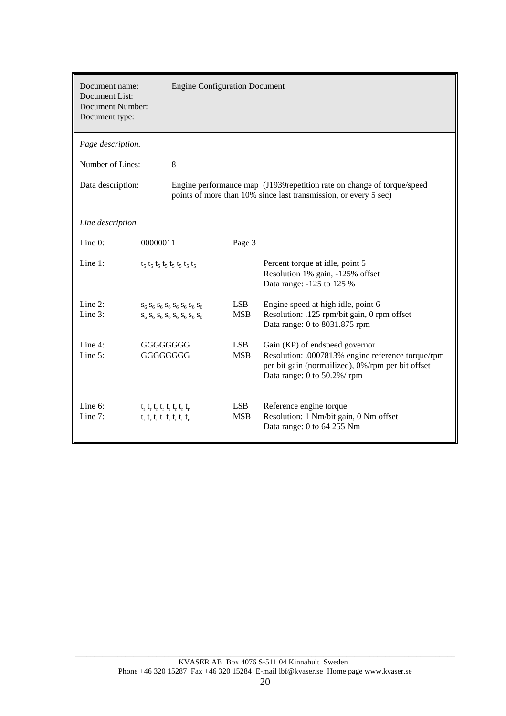| Document name:<br>Document List:<br><b>Document Number:</b><br>Document type: |                                                                                        | <b>Engine Configuration Document</b>                                   |                          |                                                                                                                                                                         |
|-------------------------------------------------------------------------------|----------------------------------------------------------------------------------------|------------------------------------------------------------------------|--------------------------|-------------------------------------------------------------------------------------------------------------------------------------------------------------------------|
| Page description.                                                             |                                                                                        |                                                                        |                          |                                                                                                                                                                         |
| Number of Lines:                                                              |                                                                                        | 8                                                                      |                          |                                                                                                                                                                         |
| Data description:                                                             |                                                                                        |                                                                        |                          | Engine performance map (J1939repetition rate on change of torque/speed<br>points of more than 10% since last transmission, or every 5 sec)                              |
| Line description.                                                             |                                                                                        |                                                                        |                          |                                                                                                                                                                         |
| Line 0:                                                                       | 00000011                                                                               |                                                                        | Page 3                   |                                                                                                                                                                         |
| Line 1:                                                                       |                                                                                        | $t_5$ $t_5$ $t_5$ $t_5$ $t_5$ $t_5$ $t_5$ $t_5$                        |                          | Percent torque at idle, point 5<br>Resolution 1% gain, -125% offset<br>Data range: -125 to 125 %                                                                        |
| Line $2$ :<br>Line 3:                                                         |                                                                                        | $S_6 S_6 S_6 S_6 S_6 S_6 S_6 S_6$<br>$S_6 S_6 S_6 S_6 S_6 S_6 S_6 S_6$ | <b>LSB</b><br><b>MSB</b> | Engine speed at high idle, point 6<br>Resolution: .125 rpm/bit gain, 0 rpm offset<br>Data range: 0 to 8031.875 rpm                                                      |
| Line 4:<br>Line $5$ :                                                         | GGGGGGGG<br>GGGGGGGG                                                                   |                                                                        | <b>LSB</b><br><b>MSB</b> | Gain (KP) of endspeed governor<br>Resolution: .0007813% engine reference torque/rpm<br>per bit gain (normailized), 0%/rpm per bit offset<br>Data range: 0 to 50.2%/ rpm |
| Line $6$ :<br>Line $7:$                                                       | $t_r$ , $t_r$ , $t_r$ , $t_r$ , $t_r$ , $t_r$<br>$t_r t_r t_r t_r t_r t_r t_r t_r t_r$ |                                                                        | <b>LSB</b><br><b>MSB</b> | Reference engine torque<br>Resolution: 1 Nm/bit gain, 0 Nm offset<br>Data range: 0 to 64 255 Nm                                                                         |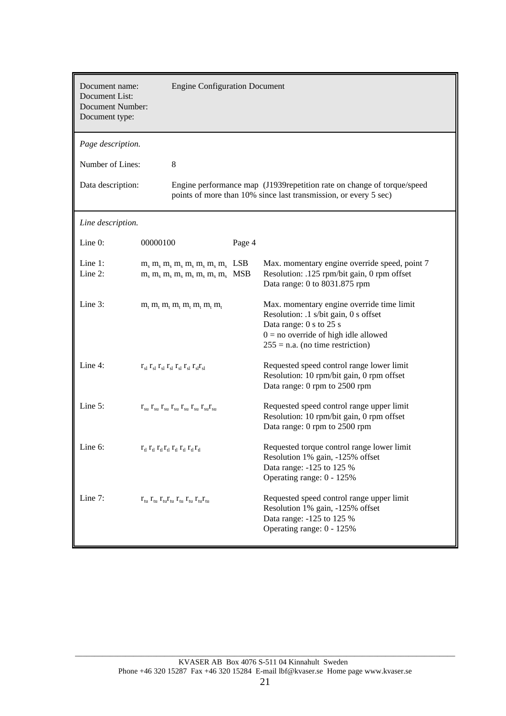| Document name:<br>Document List:<br><b>Document Number:</b><br>Document type: | <b>Engine Configuration Document</b>                                                                  |                   |                                                                                                                                                                                               |
|-------------------------------------------------------------------------------|-------------------------------------------------------------------------------------------------------|-------------------|-----------------------------------------------------------------------------------------------------------------------------------------------------------------------------------------------|
| Page description.                                                             |                                                                                                       |                   |                                                                                                                                                                                               |
| Number of Lines:                                                              | 8                                                                                                     |                   |                                                                                                                                                                                               |
| Data description:                                                             |                                                                                                       |                   | Engine performance map (J1939repetition rate on change of torque/speed<br>points of more than 10% since last transmission, or every 5 sec)                                                    |
| Line description.                                                             |                                                                                                       |                   |                                                                                                                                                                                               |
| Line 0:                                                                       | 00000100                                                                                              | Page 4            |                                                                                                                                                                                               |
| Line 1:<br>Line $2$ :                                                         | $m_s$ , $m_s$ , $m_s$ , $m_s$ , $m_s$ , $m_s$ , $m_s$<br>$m_s m_s m_s m_s m_s m_s m_s m_s$            | LSB<br><b>MSB</b> | Max. momentary engine override speed, point 7<br>Resolution: .125 rpm/bit gain, 0 rpm offset<br>Data range: 0 to 8031.875 rpm                                                                 |
| Line 3:                                                                       | $m_t$ , $m_t$ , $m_t$ , $m_t$ , $m_t$ , $m_t$ , $m_t$                                                 |                   | Max. momentary engine override time limit<br>Resolution: .1 s/bit gain, 0 s offset<br>Data range: 0 s to 25 s<br>$0 =$ no override of high idle allowed<br>$255 = n.a.$ (no time restriction) |
| Line 4:                                                                       | $r_{sl}$ $r_{sl}$ $r_{sl}$ $r_{sl}$ $r_{sl}$ $r_{sl}$ $r_{sl}$ $r_{sl}$                               |                   | Requested speed control range lower limit<br>Resolution: 10 rpm/bit gain, 0 rpm offset<br>Data range: 0 rpm to 2500 rpm                                                                       |
| Line 5:                                                                       | $r_{su} r_{su} r_{su} r_{su} r_{su} r_{su} r_{su} r_{su} r_{su}$                                      |                   | Requested speed control range upper limit<br>Resolution: 10 rpm/bit gain, 0 rpm offset<br>Data range: 0 rpm to 2500 rpm                                                                       |
| Line 6:                                                                       | $r_{\rm d} r_{\rm d} r_{\rm d} r_{\rm d} r_{\rm d} r_{\rm d} r_{\rm d} r_{\rm d} r_{\rm d} r_{\rm d}$ |                   | Requested torque control range lower limit<br>Resolution 1% gain, -125% offset<br>Data range: -125 to 125 %<br>Operating range: 0 - 125%                                                      |
| Line 7:                                                                       | $r_{\rm tu} r_{\rm tu} r_{\rm tu} r_{\rm tu} r_{\rm tu} r_{\rm tu} r_{\rm tu} r_{\rm tu}$             |                   | Requested speed control range upper limit<br>Resolution 1% gain, -125% offset<br>Data range: -125 to 125 %<br>Operating range: 0 - 125%                                                       |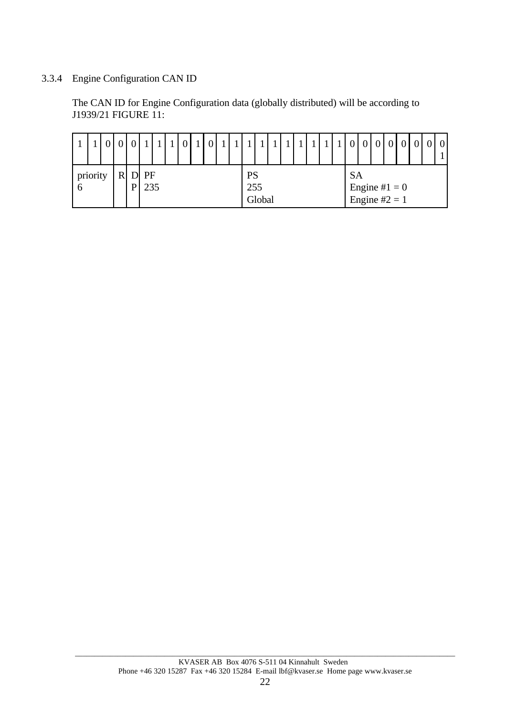# 3.3.4 Engine Configuration CAN ID

The CAN ID for Engine Configuration data (globally distributed) will be according to J1939/21 FIGURE 11:

|                |  |                             |           |  |  |  |                  |        |  |  |  |           |                                   |  |  | $\mathbf{0}$ |
|----------------|--|-----------------------------|-----------|--|--|--|------------------|--------|--|--|--|-----------|-----------------------------------|--|--|--------------|
| priority<br>-6 |  | $\mathbf{D}$<br>$\mathbf P$ | PF<br>235 |  |  |  | <b>PS</b><br>255 | Global |  |  |  | <b>SA</b> | Engine # $1 = 0$<br>Engine #2 = 1 |  |  |              |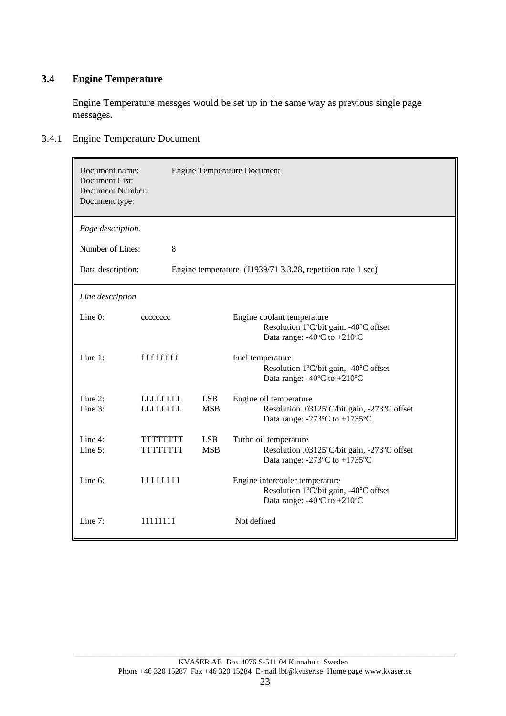## **3.4 Engine Temperature**

Engine Temperature messges would be set up in the same way as previous single page messages.

## 3.4.1 Engine Temperature Document

| Document name:<br>Document List:<br><b>Document Number:</b><br>Document type: |                                     |                          | <b>Engine Temperature Document</b>                                                                                                           |
|-------------------------------------------------------------------------------|-------------------------------------|--------------------------|----------------------------------------------------------------------------------------------------------------------------------------------|
| Page description.                                                             |                                     |                          |                                                                                                                                              |
| Number of Lines:                                                              | 8                                   |                          |                                                                                                                                              |
| Data description:                                                             |                                     |                          | Engine temperature (J1939/71 3.3.28, repetition rate 1 sec)                                                                                  |
| Line description.                                                             |                                     |                          |                                                                                                                                              |
| Line 0:                                                                       | cccccccc                            |                          | Engine coolant temperature<br>Resolution 1°C/bit gain, -40°C offset<br>Data range: -40°C to +210°C                                           |
| Line $1$ :                                                                    | ffffffff                            |                          | Fuel temperature<br>Resolution 1°C/bit gain, -40°C offset<br>Data range: -40°C to +210°C                                                     |
| Line $2$ :<br>Line 3:                                                         | <b>LLLLLLLLL</b><br><b>LLLLLLLL</b> | <b>LSB</b><br><b>MSB</b> | Engine oil temperature<br>Resolution .03125°C/bit gain, -273°C offset<br>Data range: -273 $\mathrm{^{\circ}C}$ to +1735 $\mathrm{^{\circ}C}$ |
| Line 4:<br>Line 5:                                                            | TTTTTTTT<br>TTTTTTTTT               | <b>LSB</b><br><b>MSB</b> | Turbo oil temperature<br>Resolution .03125°C/bit gain, -273°C offset<br>Data range: -273 $\mathrm{^{\circ}C}$ to +1735 $\mathrm{^{\circ}C}$  |
| Line 6:                                                                       | IIIIIII                             |                          | Engine intercooler temperature<br>Resolution 1°C/bit gain, -40°C offset<br>Data range: $-40^{\circ}$ C to $+210^{\circ}$ C                   |
| Line 7:                                                                       | 11111111                            |                          | Not defined                                                                                                                                  |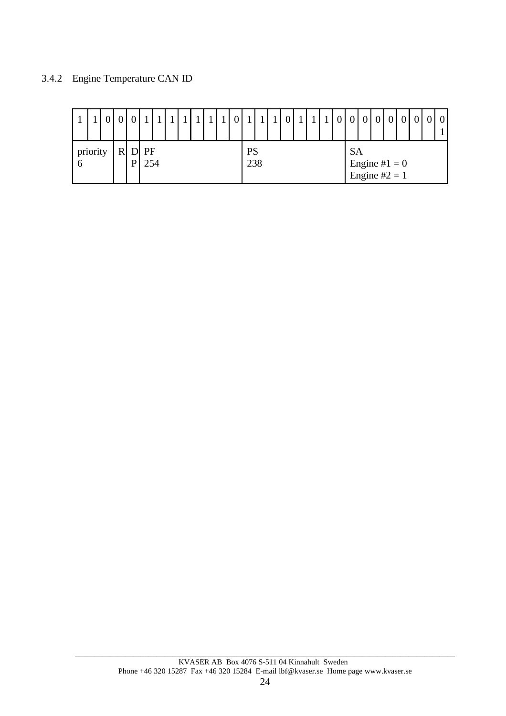## 3.4.2 Engine Temperature CAN ID

|          |   |                   |           |  |  |  |           |  |  |  |           |                                   |  |  | $\boldsymbol{0}$ |
|----------|---|-------------------|-----------|--|--|--|-----------|--|--|--|-----------|-----------------------------------|--|--|------------------|
| priority | D | $\mathbf{D}$<br>D | PF<br>254 |  |  |  | PS<br>238 |  |  |  | <b>SA</b> | Engine # $1 = 0$<br>Engine #2 = 1 |  |  |                  |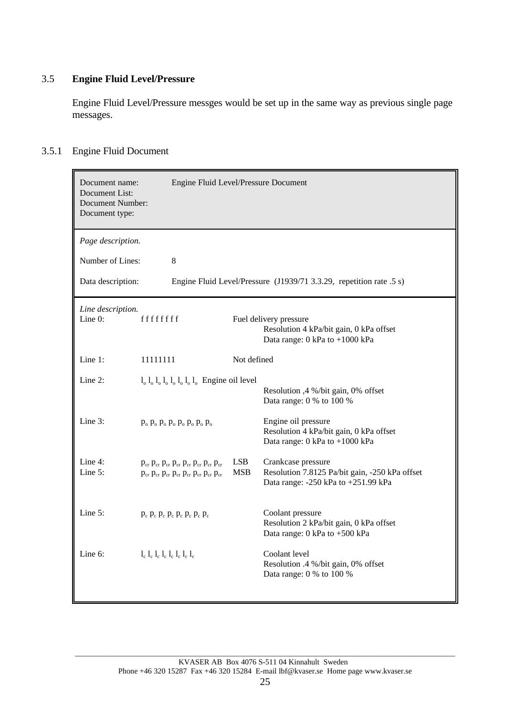## 3.5 **Engine Fluid Level/Pressure**

Engine Fluid Level/Pressure messges would be set up in the same way as previous single page messages.

## 3.5.1 Engine Fluid Document

| Document name:<br>Document List:<br>Document Number:<br>Document type: | Engine Fluid Level/Pressure Document                                                                                                 |                          |                                                                                                                         |
|------------------------------------------------------------------------|--------------------------------------------------------------------------------------------------------------------------------------|--------------------------|-------------------------------------------------------------------------------------------------------------------------|
| Page description.                                                      |                                                                                                                                      |                          |                                                                                                                         |
| Number of Lines:                                                       | $8\,$                                                                                                                                |                          |                                                                                                                         |
| Data description:                                                      |                                                                                                                                      |                          | Engine Fluid Level/Pressure (J1939/71 3.3.29, repetition rate .5 s)                                                     |
| Line description.<br>Line $0$ :                                        | ffffffff                                                                                                                             |                          | Fuel delivery pressure<br>Resolution 4 kPa/bit gain, 0 kPa offset<br>Data range: $0 \text{ kPa}$ to $+1000 \text{ kPa}$ |
| Line 1:                                                                | 11111111                                                                                                                             | Not defined              |                                                                                                                         |
| Line $2$ :                                                             | $l_0$ $l_0$ $l_0$ $l_0$ $l_0$ $l_0$ $l_0$ $l_0$ Engine oil level                                                                     |                          | Resolution ,4 %/bit gain, 0% offset<br>Data range: 0 % to 100 %                                                         |
| Line 3:                                                                | $p_0$ , $p_0$ , $p_0$ , $p_0$ , $p_0$ , $p_0$ , $p_0$                                                                                |                          | Engine oil pressure<br>Resolution 4 kPa/bit gain, 0 kPa offset<br>Data range: 0 kPa to +1000 kPa                        |
| Line 4:<br>Line 5:                                                     | $p_{cr} p_{cr} p_{cr} p_{cr} p_{cr} p_{cr} p_{cr} p_{cr} p_{cr}$<br>$p_{cr} p_{cr} p_{cr} p_{cr} p_{cr} p_{cr} p_{cr} p_{cr} p_{cr}$ | <b>LSB</b><br><b>MSB</b> | Crankcase pressure<br>Resolution 7.8125 Pa/bit gain, -250 kPa offset<br>Data range: -250 kPa to +251.99 kPa             |
| Line $5$ :                                                             | $p_c$ $p_c$ $p_c$ $p_c$ $p_c$ $p_c$ $p_c$ $p_c$                                                                                      |                          | Coolant pressure<br>Resolution 2 kPa/bit gain, 0 kPa offset<br>Data range: 0 kPa to +500 kPa                            |
| Line 6:                                                                | $l_c l_c l_c l_c l_c l_c l_c l_c l_c$                                                                                                |                          | Coolant level<br>Resolution .4 %/bit gain, 0% offset<br>Data range: 0 % to 100 %                                        |